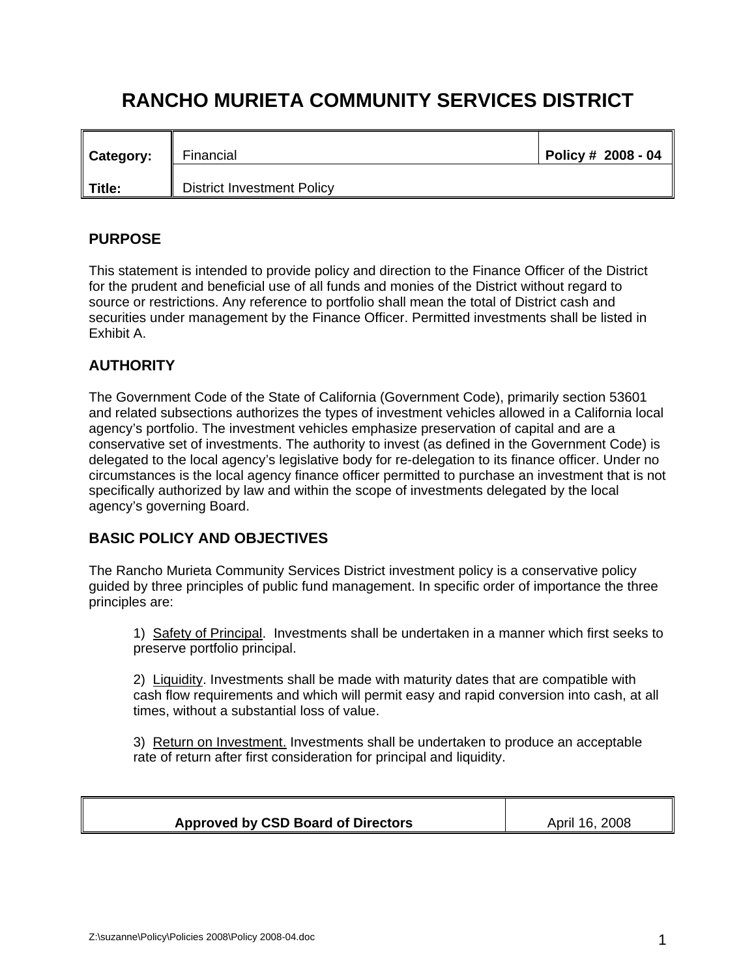# **RANCHO MURIETA COMMUNITY SERVICES DISTRICT**

| <b>Category:</b> | Financial<br>II.                  | Policy # 2008 - 04 |
|------------------|-----------------------------------|--------------------|
| Title:           | <b>District Investment Policy</b> |                    |

# **PURPOSE**

This statement is intended to provide policy and direction to the Finance Officer of the District for the prudent and beneficial use of all funds and monies of the District without regard to source or restrictions. Any reference to portfolio shall mean the total of District cash and securities under management by the Finance Officer. Permitted investments shall be listed in Exhibit A.

# **AUTHORITY**

The Government Code of the State of California (Government Code), primarily section 53601 and related subsections authorizes the types of investment vehicles allowed in a California local agency's portfolio. The investment vehicles emphasize preservation of capital and are a conservative set of investments. The authority to invest (as defined in the Government Code) is delegated to the local agency's legislative body for re-delegation to its finance officer. Under no circumstances is the local agency finance officer permitted to purchase an investment that is not specifically authorized by law and within the scope of investments delegated by the local agency's governing Board.

## **BASIC POLICY AND OBJECTIVES**

The Rancho Murieta Community Services District investment policy is a conservative policy guided by three principles of public fund management. In specific order of importance the three principles are:

1) Safety of Principal. Investments shall be undertaken in a manner which first seeks to preserve portfolio principal.

2) Liquidity. Investments shall be made with maturity dates that are compatible with cash flow requirements and which will permit easy and rapid conversion into cash, at all times, without a substantial loss of value.

3) Return on Investment. Investments shall be undertaken to produce an acceptable rate of return after first consideration for principal and liquidity.

| <b>Approved by CSD Board of Directors</b> | 16, 2008<br>April |
|-------------------------------------------|-------------------|
|                                           |                   |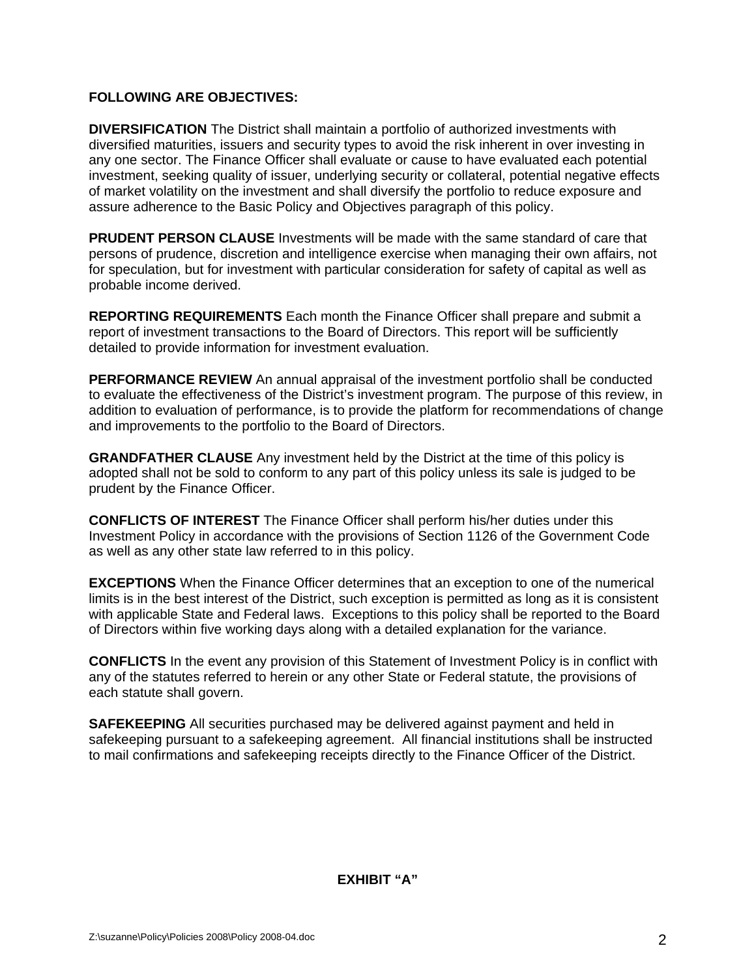#### **FOLLOWING ARE OBJECTIVES:**

**DIVERSIFICATION** The District shall maintain a portfolio of authorized investments with diversified maturities, issuers and security types to avoid the risk inherent in over investing in any one sector. The Finance Officer shall evaluate or cause to have evaluated each potential investment, seeking quality of issuer, underlying security or collateral, potential negative effects of market volatility on the investment and shall diversify the portfolio to reduce exposure and assure adherence to the Basic Policy and Objectives paragraph of this policy.

**PRUDENT PERSON CLAUSE** Investments will be made with the same standard of care that persons of prudence, discretion and intelligence exercise when managing their own affairs, not for speculation, but for investment with particular consideration for safety of capital as well as probable income derived.

**REPORTING REQUIREMENTS** Each month the Finance Officer shall prepare and submit a report of investment transactions to the Board of Directors. This report will be sufficiently detailed to provide information for investment evaluation.

**PERFORMANCE REVIEW** An annual appraisal of the investment portfolio shall be conducted to evaluate the effectiveness of the District's investment program. The purpose of this review, in addition to evaluation of performance, is to provide the platform for recommendations of change and improvements to the portfolio to the Board of Directors.

**GRANDFATHER CLAUSE** Any investment held by the District at the time of this policy is adopted shall not be sold to conform to any part of this policy unless its sale is judged to be prudent by the Finance Officer.

**CONFLICTS OF INTEREST** The Finance Officer shall perform his/her duties under this Investment Policy in accordance with the provisions of Section 1126 of the Government Code as well as any other state law referred to in this policy.

**EXCEPTIONS** When the Finance Officer determines that an exception to one of the numerical limits is in the best interest of the District, such exception is permitted as long as it is consistent with applicable State and Federal laws. Exceptions to this policy shall be reported to the Board of Directors within five working days along with a detailed explanation for the variance.

**CONFLICTS** In the event any provision of this Statement of Investment Policy is in conflict with any of the statutes referred to herein or any other State or Federal statute, the provisions of each statute shall govern.

**SAFEKEEPING** All securities purchased may be delivered against payment and held in safekeeping pursuant to a safekeeping agreement. All financial institutions shall be instructed to mail confirmations and safekeeping receipts directly to the Finance Officer of the District.

### **EXHIBIT "A"**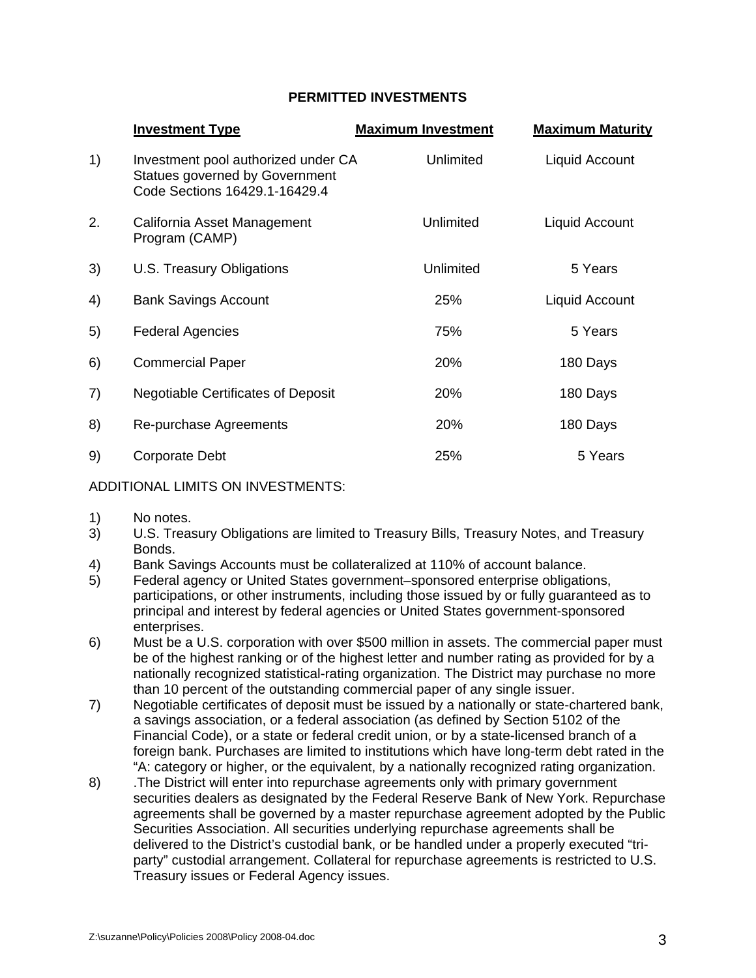## **PERMITTED INVESTMENTS**

|    | <b>Investment Type</b>                                                                                 | <b>Maximum Investment</b> | <b>Maximum Maturity</b> |
|----|--------------------------------------------------------------------------------------------------------|---------------------------|-------------------------|
| 1) | Investment pool authorized under CA<br>Statues governed by Government<br>Code Sections 16429.1-16429.4 | Unlimited                 | Liquid Account          |
| 2. | California Asset Management<br>Program (CAMP)                                                          | Unlimited                 | Liquid Account          |
| 3) | U.S. Treasury Obligations                                                                              | Unlimited                 | 5 Years                 |
| 4) | <b>Bank Savings Account</b>                                                                            | 25%                       | Liquid Account          |
| 5) | <b>Federal Agencies</b>                                                                                | 75%                       | 5 Years                 |
| 6) | <b>Commercial Paper</b>                                                                                | 20%                       | 180 Days                |
| 7) | <b>Negotiable Certificates of Deposit</b>                                                              | 20%                       | 180 Days                |
| 8) | Re-purchase Agreements                                                                                 | 20%                       | 180 Days                |
| 9) | Corporate Debt                                                                                         | 25%                       | 5 Years                 |

#### ADDITIONAL LIMITS ON INVESTMENTS:

- 1) No notes.
- 3) U.S. Treasury Obligations are limited to Treasury Bills, Treasury Notes, and Treasury Bonds.
- 4) Bank Savings Accounts must be collateralized at 110% of account balance.
- 5) Federal agency or United States government–sponsored enterprise obligations, participations, or other instruments, including those issued by or fully guaranteed as to principal and interest by federal agencies or United States government-sponsored enterprises.
- 6) Must be a U.S. corporation with over \$500 million in assets. The commercial paper must be of the highest ranking or of the highest letter and number rating as provided for by a nationally recognized statistical-rating organization. The District may purchase no more than 10 percent of the outstanding commercial paper of any single issuer.
- 7) Negotiable certificates of deposit must be issued by a nationally or state-chartered bank, a savings association, or a federal association (as defined by Section 5102 of the Financial Code), or a state or federal credit union, or by a state-licensed branch of a foreign bank. Purchases are limited to institutions which have long-term debt rated in the "A: category or higher, or the equivalent, by a nationally recognized rating organization.
- 8) .The District will enter into repurchase agreements only with primary government securities dealers as designated by the Federal Reserve Bank of New York. Repurchase agreements shall be governed by a master repurchase agreement adopted by the Public Securities Association. All securities underlying repurchase agreements shall be delivered to the District's custodial bank, or be handled under a properly executed "triparty" custodial arrangement. Collateral for repurchase agreements is restricted to U.S. Treasury issues or Federal Agency issues.